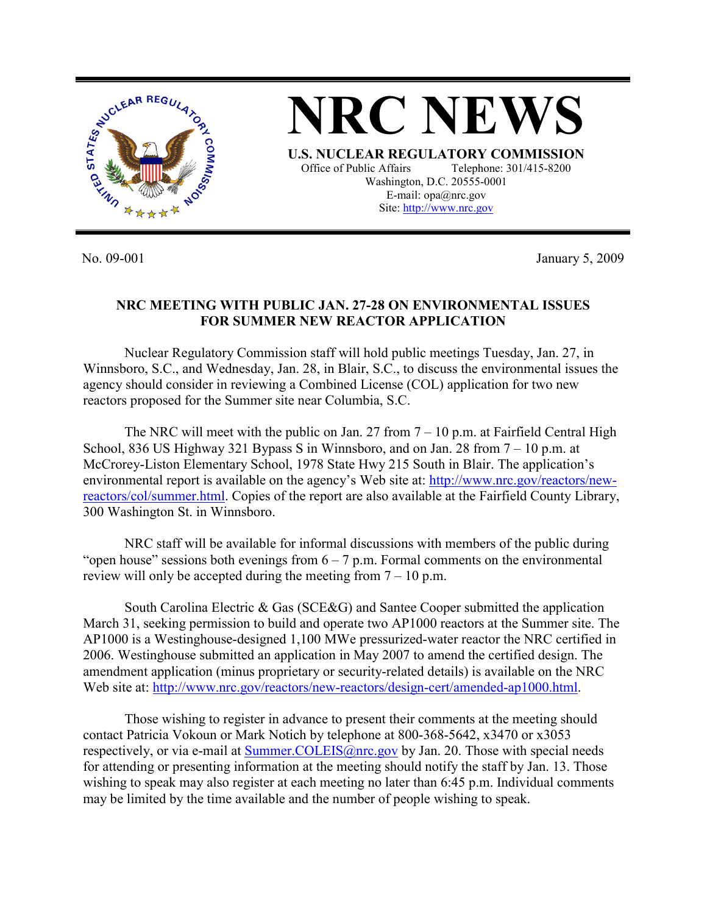

No. 09-001 January 5, 2009

## **NRC MEETING WITH PUBLIC JAN. 27-28 ON ENVIRONMENTAL ISSUES FOR SUMMER NEW REACTOR APPLICATION**

 Nuclear Regulatory Commission staff will hold public meetings Tuesday, Jan. 27, in Winnsboro, S.C., and Wednesday, Jan. 28, in Blair, S.C., to discuss the environmental issues the agency should consider in reviewing a Combined License (COL) application for two new reactors proposed for the Summer site near Columbia, S.C.

The NRC will meet with the public on Jan. 27 from  $7 - 10$  p.m. at Fairfield Central High School, 836 US Highway 321 Bypass S in Winnsboro, and on Jan. 28 from 7 – 10 p.m. at McCrorey-Liston Elementary School, 1978 State Hwy 215 South in Blair. The application's environmental report is available on the agency's Web site at: http://www.nrc.gov/reactors/newreactors/col/summer.html. Copies of the report are also available at the Fairfield County Library, 300 Washington St. in Winnsboro.

NRC staff will be available for informal discussions with members of the public during "open house" sessions both evenings from  $6 - 7$  p.m. Formal comments on the environmental review will only be accepted during the meeting from  $7 - 10$  p.m.

South Carolina Electric & Gas (SCE&G) and Santee Cooper submitted the application March 31, seeking permission to build and operate two AP1000 reactors at the Summer site. The AP1000 is a Westinghouse-designed 1,100 MWe pressurized-water reactor the NRC certified in 2006. Westinghouse submitted an application in May 2007 to amend the certified design. The amendment application (minus proprietary or security-related details) is available on the NRC Web site at: http://www.nrc.gov/reactors/new-reactors/design-cert/amended-ap1000.html.

 Those wishing to register in advance to present their comments at the meeting should contact Patricia Vokoun or Mark Notich by telephone at 800-368-5642, x3470 or x3053 respectively, or via e-mail at Summer.COLEIS@nrc.gov by Jan. 20. Those with special needs for attending or presenting information at the meeting should notify the staff by Jan. 13. Those wishing to speak may also register at each meeting no later than 6:45 p.m. Individual comments may be limited by the time available and the number of people wishing to speak.